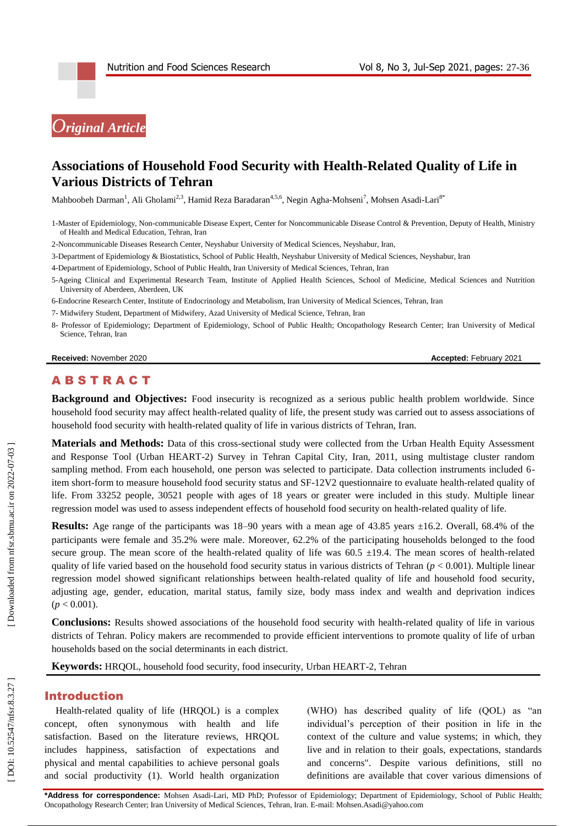

# **Associations of Household Food Security with Health -Related Quality of Life in Various Districts of Tehran**

Mahboobeh Darman<sup>1</sup>, Ali Gholami<sup>2,3</sup>, Hamid Reza Baradaran<sup>4,5,6</sup>, Negin Agha-Mohseni<sup>7</sup>, Mohsen Asadi-Lari<sup>8</sup>°

1 -Master of Epidemiology, Non -communicable Disease Expert, Center for Noncommunicable Disease Control & Prevention, Deputy of Health, Ministry of Health and Medical Education, Tehran, Iran

2 -Noncommunicable Diseases Research Center, Neyshabur University of Medical Sciences, Neyshabur, Iran,

3 -Department of Epidemiology & Biostatistics, School of Public Health, Neyshabur University of Medical Sciences, Neyshabur, Iran

4 -Department of Epidemiology, School of Public Health, Iran University of Medical Sciences, Tehran, Iran

5 -Ageing Clinical and Experimental Research Team, Institute of Applied Health Sciences, School of Medicine, Medical Sciences and Nutrition University of Aberdeen, Aberdeen, UK

6 -Endocrine Research Center, Institute of Endocrinology and Metabolism, Iran University of Medical Sciences, Tehran, Iran

- 7 Midwifery Student, Department of Midwifery, Azad University of Medical Science, Tehran, Iran
- 8 Professor of Epidemiology; Department of Epidemiology, School of Public Health; Oncopathology Research Center; Iran University of Medical Science, Tehran, Iran

**Received:** November 2020 **Accepted: February 2021** 

# **ABSTRACT**

**Background and Objectives:** Food insecurity is recognized as a serious public health problem worldwide. Since household food security may affect health -related quality of life, the present study was carried out to assess associations of household food security with health -related quality of life in various districts of Tehran, Iran.

**Materials and Methods:** Data of this cross -sectional study were collected from the Urban Health Equity Assessment and Response Tool (Urban HEART -2) Survey in Tehran Capital City, Iran, 2011, using multistage cluster random sampling method. From each household, one person was selected to participate. Data collection instruments included 6item short -form to measure household food security status and SF -12V2 questionnaire to evaluate health -related quality of life. From 33252 people, 30521 people with ages of 18 years or greater were included in this study. Multiple linear regression model was used to assess independent effects of household food security on health -related quality of life.

Results: Age range of the participants was 18-90 years with a mean age of 43.85 years ±16.2. Overall, 68.4% of the participants were female and 35.2% were male. Moreover, 62.2% of the participating households belonged to the food secure group. The mean score of the health-related quality of life was  $60.5 \pm 19.4$ . The mean scores of health-related quality of life varied based on the household food security status in various districts of Tehran (*p* < 0.001). Multiple linear regression model showed significant relationships between health -related quality of life and household food security, adjusting age, gender, education, marital status, family size, body mass index and wealth and deprivation indices  $(p < 0.001)$ .

**Conclusions:** Results showed associations of the household food security with health -related quality of life in various districts of Tehran. Policy makers are recommended to provide efficient interventions to promote quality of life of urban households based on the social determinants in each district.

**Keywords:** HRQOL, household food security, food insecurity, Urban HEART -2, Tehran

#### Introduction

Health -related quality of life (HRQOL) is a complex concept, often synonymous with health and life satisfaction. Based on the literature reviews, HRQOL includes happiness, satisfaction of expectations and physical and mental capabilities to achieve personal goals and social productivity (1). World health organization

(WHO) has described quality of life (QOL) as "an individual's perception of their position in life in the context of the culture and value systems; in which, they live and in relation to their goals, expectations, standards and concerns". Despite various definitions, still no definitions are available that cover various dimensions of

**\*Address for correspondence:** Mohsen Asadi -Lari, MD PhD; Professor of Epidemiology; Department of Epidemiology, School of Public Health; Oncopathology Research Center; Iran University of Medical Sciences, Tehran, Iran. E-mail: Mohsen.Asadi@yahoo.com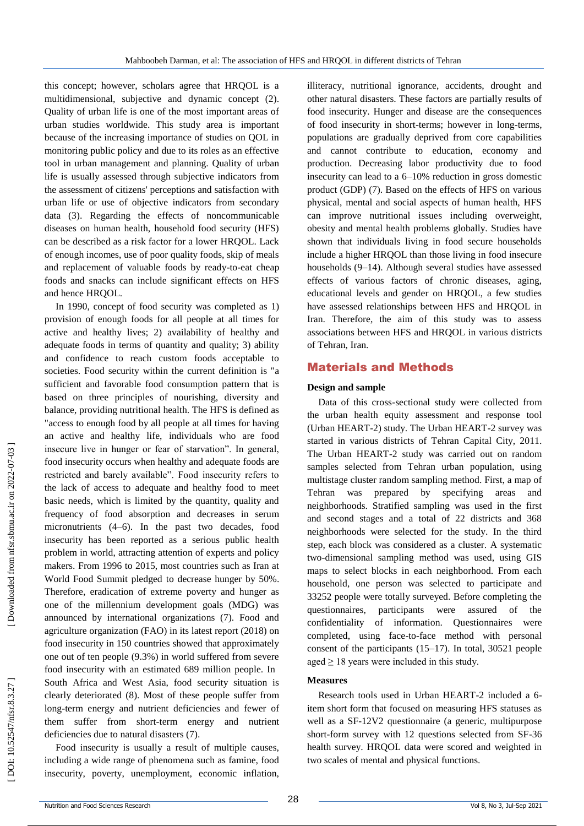this concept; however, scholars agree that HRQOL is a multidimensional, subjective and dynamic concept (2). Quality of urban life is one of the most important areas of urban studies worldwide. This study area is important because of the increasing importance of studies on QOL in monitoring public policy and due to its roles as an effective tool in urban management and planning. Quality of urban life is usually assessed through subjective indicators from the assessment of citizens' perceptions and satisfaction with urban life or use of objective indicators from secondary data (3). Regarding the effects of noncommunicable diseases on human health, household food security (HFS) can be described as a risk factor for a lower HRQOL. Lack of enough incomes, use of poor quality foods, skip of meals and replacement of valuable foods by ready -to -eat cheap foods and snacks can include significant effects on HFS and hence HRQOL.

In 1990, concept of food security was completed as 1) provision of enough foods for all people at all times for active and healthy lives; 2) availability of healthy and adequate foods in terms of quantity and quality; 3) ability and confidence to reach custom foods acceptable to societies. Food security within the current definition is "a sufficient and favorable food consumption pattern that is based on three principles of nourishing, diversity and balance, providing nutritional health. The HFS is defined as "access to enough food by all people at all times for having an active and healthy life, individuals who are food insecure live in hunger or fear of starvation". In general, food insecurity occurs when healthy and adequate foods are restricted and barely available". Food insecurity refers to the lack of access to adequate and healthy food to meet basic needs, which is limited by the quantity, quality and frequency of food absorption and decreases in serum micronutrients (4 –6). In the past two decades, food insecurity has been reported as a serious public health problem in world, attracting attention of experts and policy makers. From 1996 to 2015, most countries such as Iran at World Food Summit pledged to decrease hunger by 50%. Therefore, eradication of extreme poverty and hunger as one of the millennium development goals (MDG) was announced by international organizations (7). Food and agriculture organization (FAO) in its latest report (2018) on food insecurity in 150 countries showed that approximately one out of ten people (9.3%) in world suffered from severe food insecurity with an estimated 689 million people. In South Africa and West Asia, food security situation is clearly deteriorated (8). Most of these people suffer from long -term energy and nutrient deficiencies and fewer of them suffer from short -term energy and nutrient deficiencies due to natural disasters (7).

Food insecurity is usually a result of multiple causes, including a wide range of phenomena such as famine, food insecurity, poverty, unemployment, economic inflation,

illiteracy, nutritional ignorance, accidents, drought and other natural disasters. These factors are partially results of food insecurity. Hunger and disease are the consequences of food insecurity in short -terms; however in long -terms, populations are gradually deprived from core capabilities and cannot contribute to education, economy and production. Decreasing labor productivity due to food insecurity can lead to a 6 –10% reduction in gross domestic product (GDP) (7). Based on the effects of HFS on various physical, mental and social aspects of human health, HFS can improve nutritional issues including overweight, obesity and mental health problems globally. Studies have shown that individuals living in food secure households include a higher HRQOL than those living in food insecure households (9 –14). Although several studies have assessed effects of various factors of chronic diseases, aging, educational levels and gender on HRQOL, a few studies have assessed relationships between HFS and HRQOL in Iran. Therefore, the aim of this study was to assess associations between HFS and HRQOL in various districts of Tehran, Iran.

# Materials and Methods

#### **Design and sample**

Data of this cross -sectional study were collected from the urban health equity assessment and response tool (Urban HEART -2) study. The Urban HEART -2 survey was started in various districts of Tehran Capital City, 2011. The Urban HEART -2 study was carried out on random samples selected from Tehran urban population, using multistage cluster random sampling method. First, a map of Tehran was prepared by specifying areas and neighborhoods. Stratified sampling was used in the first and second stages and a total of 22 districts and 368 neighborhoods were selected for the study. In the third step, each block was considered as a cluster. A systematic two -dimensional sampling method was used, using GIS maps to select blocks in each neighborhood. From each household, one person was selected to participate and 33252 people were totally surveyed. Before completing the questionnaires, participants were assured of the confidentiality of information. Questionnaires were completed, using face -to -face method with personal consent of the participants (15 –17). In total, 30521 people aged  $\geq$  18 years were included in this study.

### **Measures**

Research tools used in Urban HEART -2 included a 6 item short form that focused on measuring HFS statuses as well as a SF -12V2 questionnaire (a generic, multipurpose short -form survey with 12 questions selected from SF -36 health survey. HRQOL data were scored and weighted in two scales of mental and physical functions.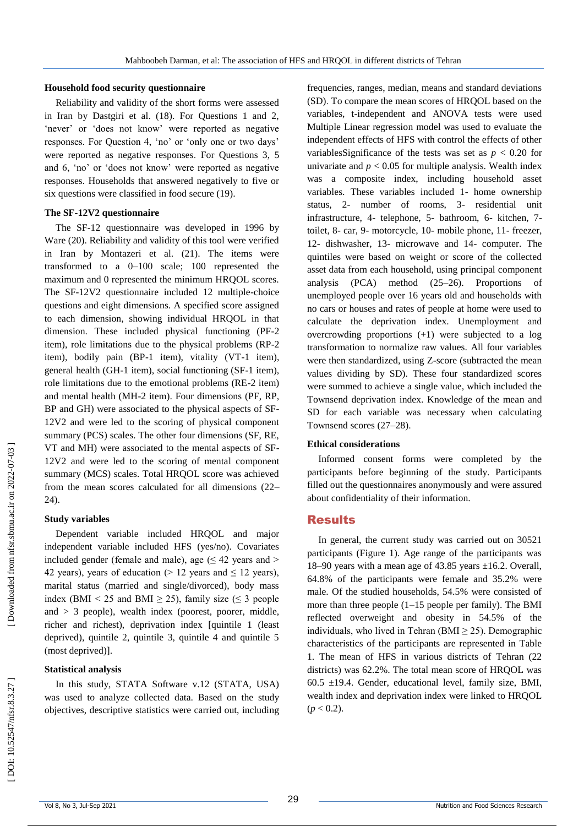#### **Household food security questionnaire**

Reliability and validity of the short forms were assessed in Iran by Dastgiri et al. (18). For Questions 1 and 2, 'never' or 'does not know' were reported as negative responses. For Question 4, 'no' or 'only one or two days' were reported as negative responses . For Questions 3, 5 and 6, 'no' or 'does not know' were reported as negative responses. Households that answered negatively to five or six questions were classified in food secure (19).

#### **The SF -12V2 questionnaire**

The SF -12 questionnaire was developed in 1996 by Ware (20). Reliability and validity of this tool were verified in Iran by Montazeri et al. (21). The items were transformed to a 0 –100 scale; 100 represented the maximum and 0 represented the minimum HRQOL scores. The SF -12V2 questionnaire included 12 multiple -choice questions and eight dimensions. A specified score assigned to each dimension, showing individual HRQOL in that dimension. These included physical functioning (PF -2 item), role limitations due to the physical problems (RP -2 item), bodily pain (BP -1 item), vitality (VT -1 item), general health (GH -1 item), social functioning (SF -1 item), role limitations due to the emotional problems (RE -2 item) and mental health (MH -2 item). Four dimensions (PF, RP, BP and GH) were associated to the physical aspects of SF - 12V2 and were led to the scoring of physical component summary (PCS) scales. The other four dimensions (SF, RE, VT and MH) were associated to the mental aspects of SF - 12V2 and were led to the scoring of menta l component summary (MCS) scales. Total HRQOL score was achieved from the mean scores calculated for all dimensions (22 – 24).

#### **Study variables**

Dependent variable included HRQOL and major independent variable included HFS (yes/no). Covariates included gender (female and male), age  $( \leq 42 \text{ years and} >$ 42 years), years of education ( $> 12$  years and  $\leq 12$  years), marital status (married and single/divorced), body mass index (BMI < 25 and BMI  $\geq$  25), family size ( $\leq$  3 people and  $> 3$  people), wealth index (poorest, poorer, middle, richer and richest), deprivation index [quintile 1 (least deprived), quintile 2, quintile 3, quintile 4 and quintile 5 (most deprived)].

### **Statistical analysis**

In this study, STATA Software v.12 (STATA, USA) was used to analyze collected data. Based on the study objectives, descriptive statistics were carried out, including

frequencies, ranges, median, means and standard deviations (SD) . To compare the mean scores of HRQOL based on the variables, t -independent and ANOVA tests were used Multiple Linear regression model was used to evaluate the independent effects of HFS with control the effects of other variablesSignificance of the tests was set as  $p < 0.20$  for univariate and  $p < 0.05$  for multiple analysis. Wealth index was a composite index, including household asset variables. These variables included 1 - home ownership status, 2- number of rooms, 3- residential unit infrastructure, 4- telephone, 5- bathroom, 6- kitchen, 7toilet, 8- car, 9- motorcycle, 10- mobile phone, 11- freezer, 12 - dishwasher, 13 - microwave and 14 - computer. The quintiles were based on weight or score of the collected asset data from each household, using principal component analysis (PCA) method (25 –26). Proportions of unemployed people over 16 years old and households with no cars or houses and rates of people at home were used to calculate the deprivation index. Unemployment and overcrowding proportions (+1) were subjected to a log transformation to normalize raw values. All four variables were then standardized, using Z -score (subtracted the mean values dividing by SD). These four standardized scores were summed to achieve a single value, which included the Townsend deprivation index. Knowledge of the mean and SD for each variable was necessary when calculating Townsend scores (27 –28).

#### **Ethical considerations**

Informed consent forms were completed by the participants before beginning of the study. Participants filled out the questionnaires anonymously and were assured about confidentiality of their information.

### **Results**

In general, the current study was carried out on 30521 participants (Figure 1). Age range of the participants was 18 –90 years with a mean age of 43.85 years ±16.2. Overall, 64.8% of the participants were female and 35.2% were male. Of the studied households, 54.5% were consisted of more than three people (1 –15 people per family). The BMI reflected overweight and obesity in 54.5% of the individuals, who lived in Tehran (BMI  $\geq$  25). Demographic characteristics of the participants are represented in Table 1. The mean of HFS in various districts of Tehran (22 districts) was 62.2%. The total mean score of HRQOL was  $60.5 \pm 19.4$ . Gender, educational level, family size, BMI, wealth index and deprivation index were linked to HRQOL (*p* < 0.2).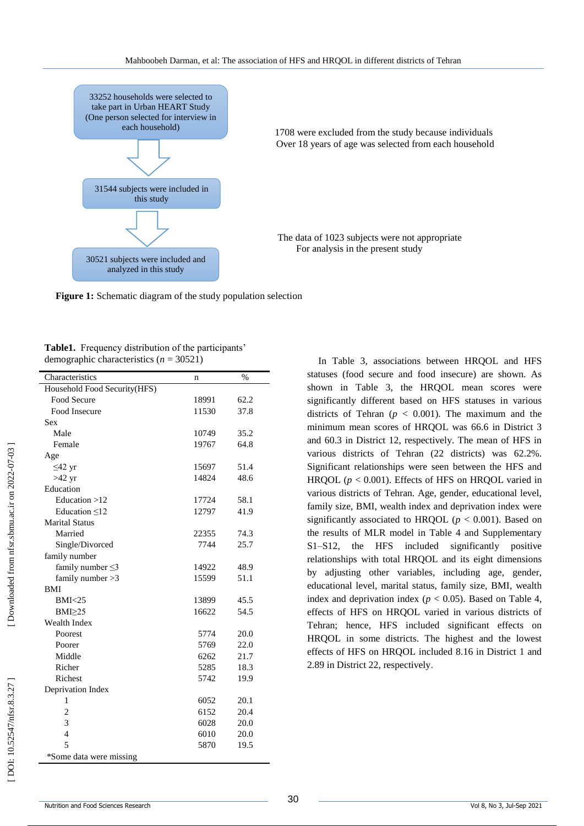

 1708 were excluded from the study because individuals **Example 3** Over 18 years of age was selected from each household

> The data of 1023 subjects were not appropriate For analysis in the present study

Figure 1: Schematic diagram of the study population selection

**Table1.** Frequency distribution of the participants' demographic characteristics ( *n* = 30521)

| Characteristics              | n     | $\frac{0}{0}$ |
|------------------------------|-------|---------------|
| Household Food Security(HFS) |       |               |
| Food Secure                  | 18991 | 62.2          |
| Food Insecure                | 11530 | 37.8          |
| Sex                          |       |               |
| Male                         | 10749 | 35.2          |
| Female                       | 19767 | 64.8          |
| Age                          |       |               |
| $\leq$ 42 yr                 | 15697 | 51.4          |
| $>42$ yr                     | 14824 | 48.6          |
| Education                    |       |               |
| Education $>12$              | 17724 | 58.1          |
| Education $\leq 12$          | 12797 | 41.9          |
| <b>Marital Status</b>        |       |               |
| Married                      | 22355 | 74.3          |
| Single/Divorced              | 7744  | 25.7          |
| family number                |       |               |
| family number $\leq$ 3       | 14922 | 48.9          |
| family number $>3$           | 15599 | 51.1          |
| <b>BMI</b>                   |       |               |
| BMI < 25                     | 13899 | 45.5          |
| $BMI \geq 25$                | 16622 | 54.5          |
| <b>Wealth Index</b>          |       |               |
| Poorest                      | 5774  | 20.0          |
| Poorer                       | 5769  | 22.0          |
| Middle                       | 6262  | 21.7          |
| Richer                       | 5285  | 18.3          |
| Richest                      | 5742  | 19.9          |
| Deprivation Index            |       |               |
| 1                            | 6052  | 20.1          |
| $\overline{2}$               | 6152  | 20.4          |
| 3                            | 6028  | 20.0          |
| $\overline{4}$               | 6010  | 20.0          |
| 5                            | 5870  | 19.5          |
| *Some data were missing      |       |               |
|                              |       |               |

In Table 3, associations between HRQOL and HFS statuses (food secure and food insecure) are shown. As shown in Table 3, the HRQOL mean scores were significantly different based on HFS statuses in various districts of Tehran ( $p < 0.001$ ). The maximum and the minimum mean scores of HRQOL was 66.6 in District 3 and 60.3 in District 12, respectively. The mean of HFS in various districts of Tehran (22 districts) was 62.2%. Significant relationships were seen between the HFS and HRQOL ( $p < 0.001$ ). Effects of HFS on HRQOL varied in various districts of Tehran. Age, gender, educational level, family size, BMI, wealth index and deprivation index were significantly associated to HRQOL ( $p < 0.001$ ). Based on the results of MLR model in Table 4 and Supplementary S1 –S12, the HFS included significantly positive relationships with total HRQOL and its eight dimensions by adjusting other variables, including age, gender, educational level, marital status, family size, BMI, wealth index and deprivation index ( $p < 0.05$ ). Based on Table 4, effects of HFS on HRQOL varied in various districts of Tehran; hence, HFS included significant effects on HRQOL in some districts. The highest and the lowest effects of HFS on HRQOL included 8.16 in District 1 and 2.89 in District 22, respectively .

Downloaded from nfsr.sbmu.ac.ir on 2022-07-03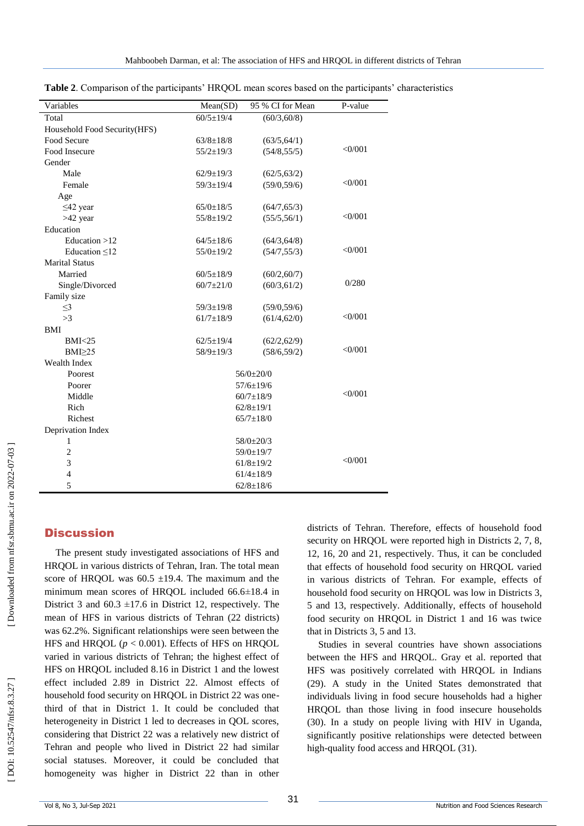| Variables                    | Mean(SD)        | 95 % CI for Mean | P-value   |
|------------------------------|-----------------|------------------|-----------|
| Total                        | $60/5 \pm 19/4$ | (60/3, 60/8)     |           |
| Household Food Security(HFS) |                 |                  |           |
| Food Secure                  | $63/8 \pm 18/8$ | (63/5, 64/1)     |           |
| Food Insecure                | $55/2 \pm 19/3$ | (54/8, 55/5)     | $<$ 0/001 |
| Gender                       |                 |                  |           |
| Male                         | $62/9 \pm 19/3$ | (62/5, 63/2)     |           |
| Female                       | $59/3 \pm 19/4$ | (59/0, 59/6)     | <0/001    |
| Age                          |                 |                  |           |
| $\leq$ 42 year               | $65/0 \pm 18/5$ | (64/7, 65/3)     |           |
| $>42$ year                   | $55/8 \pm 19/2$ | (55/5, 56/1)     | <0/001    |
| Education                    |                 |                  |           |
| Education $>12$              | $64/5 \pm 18/6$ | (64/3, 64/8)     |           |
| Education $\leq 12$          | $55/0 \pm 19/2$ | (54/7, 55/3)     | <0/001    |
| <b>Marital Status</b>        |                 |                  |           |
| Married                      | $60/5 \pm 18/9$ | (60/2, 60/7)     |           |
| Single/Divorced              | $60/7 + 21/0$   | (60/3, 61/2)     | 0/280     |
| Family size                  |                 |                  |           |
| $\leq$ 3                     | $59/3 \pm 19/8$ | (59/0, 59/6)     |           |
| >3                           | $61/7 \pm 18/9$ | (61/4, 62/0)     | $<$ 0/001 |
| <b>BMI</b>                   |                 |                  |           |
| <b>BMI&lt;25</b>             | $62/5 \pm 19/4$ | (62/2, 62/9)     |           |
| $BMI \geq 25$                | 58/9±19/3       | (58/6, 59/2)     | <0/001    |
| Wealth Index                 |                 |                  |           |
| Poorest                      |                 | $56/0+20/0$      |           |
| Poorer                       |                 | $57/6 \pm 19/6$  |           |
| Middle                       | $60/7 \pm 18/9$ |                  | $<$ 0/001 |
| Rich                         | $62/8 \pm 19/1$ |                  |           |
| Richest                      |                 | $65/7 \pm 18/0$  |           |
| Deprivation Index            |                 |                  |           |
| 1                            |                 | 58/0±20/3        |           |
| $\overline{c}$               | 59/0±19/7       |                  |           |
| 3                            | $61/8 \pm 19/2$ |                  | <0/001    |
| $\overline{4}$               | $61/4 \pm 18/9$ |                  |           |
| 5                            |                 | $62/8 \pm 18/6$  |           |

**Table 2**. Comparison of the participants' HRQOL mean scores based on the participants' characteristics

# **Discussion**

The present study investigated associations of HFS and HRQOL in various districts of Tehran, Iran. The total mean score of HRQOL was  $60.5 \pm 19.4$ . The maximum and the minimum mean scores of HRQOL included 66.6 ±18.4 in District 3 and  $60.3 \pm 17.6$  in District 12, respectively. The mean of HFS in various districts of Tehran (22 districts) was 62.2%. Significant relationships were seen between the HFS and HRQOL  $(p < 0.001)$ . Effects of HFS on HRQOL varied in various districts of Tehran; the highest effect of HFS on HRQOL included 8.16 in District 1 and the lowest effect included 2.89 in District 22. Almost effects of household food security on HRQOL in District 22 was onethird of that in District 1. It could be concluded that heterogeneity in District 1 led to decreases in QOL scores, considering that District 22 was a relatively new district of Tehran and people who lived in District 22 had similar social statuses. Moreover, it could be concluded that homogeneity was higher in District 22 than in other

districts of Tehran. Therefore, effects of household food security on HRQOL were reported high in Districts 2, 7, 8, 12, 16, 20 and 21, respectively. Thus, it can be concluded that effects of household food security on HRQOL varied in various districts of Tehran. For example, effects of household food security on HRQOL was low in Districts 3, 5 and 13, respectively. Additionally, effects of household food security on HRQOL in District 1 and 16 was twice that in Districts 3, 5 and 13.

Studies in several countries have shown associations between the HFS and HRQOL. Gray et al. reported that HFS was positively correlated with HRQOL in Indians (29). A study in the United States demonstrated that individuals living in food secure households had a higher HRQOL than those living in food insecure households (30). In a study on people living with HIV in Uganda, significantly positive relationships were detected between high -quality food access and HRQOL (31).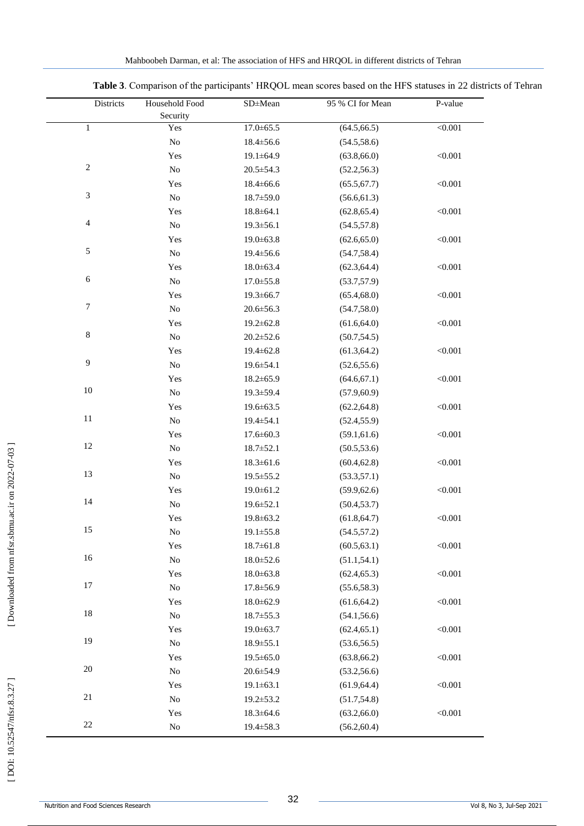| Districts                   | Household Food | SD±Mean         | 95 % CI for Mean | P-value |
|-----------------------------|----------------|-----------------|------------------|---------|
|                             | Security       |                 |                  |         |
| $\mathbf 1$                 | Yes            | $17.0 \pm 65.5$ | (64.5, 66.5)     | < 0.001 |
|                             | $\rm No$       | $18.4 \pm 56.6$ | (54.5, 58.6)     |         |
|                             | Yes            | $19.1 \pm 64.9$ | (63.8, 66.0)     | < 0.001 |
| $\sqrt{2}$                  | $\rm No$       | $20.5 \pm 54.3$ | (52.2, 56.3)     |         |
|                             | Yes            | $18.4 \pm 66.6$ | (65.5, 67.7)     | < 0.001 |
| $\ensuremath{\mathfrak{Z}}$ | $\rm No$       | $18.7 \pm 59.0$ | (56.6, 61.3)     |         |
|                             | Yes            | $18.8 \pm 64.1$ | (62.8, 65.4)     | < 0.001 |
| $\overline{4}$              | ${\rm No}$     | $19.3 \pm 56.1$ | (54.5, 57.8)     |         |
|                             | Yes            | 19.0±63.8       | (62.6, 65.0)     | < 0.001 |
| $\sqrt{5}$                  | $\rm No$       | 19.4±56.6       | (54.7, 58.4)     |         |
|                             | Yes            | $18.0 \pm 63.4$ | (62.3, 64.4)     | < 0.001 |
| $\sqrt{6}$                  | ${\rm No}$     | $17.0 \pm 55.8$ | (53.7, 57.9)     |         |
|                             | Yes            | $19.3 \pm 66.7$ | (65.4, 68.0)     | < 0.001 |
| $\tau$                      | $\rm No$       | $20.6 \pm 56.3$ | (54.7, 58.0)     |         |
|                             | Yes            | $19.2 \pm 62.8$ | (61.6, 64.0)     | < 0.001 |
| $\,8\,$                     | $\rm No$       | $20.2 \pm 52.6$ | (50.7, 54.5)     |         |
|                             | Yes            | $19.4 \pm 62.8$ | (61.3, 64.2)     | < 0.001 |
| $\overline{9}$              | ${\rm No}$     | 19.6±54.1       | (52.6, 55.6)     |         |
|                             | Yes            | $18.2 \pm 65.9$ | (64.6, 67.1)     | < 0.001 |
| 10                          | $\rm No$       | 19.3±59.4       | (57.9, 60.9)     |         |
|                             | Yes            | 19.6±63.5       | (62.2, 64.8)     | < 0.001 |
| $11\,$                      | $\rm No$       | 19.4±54.1       | (52.4, 55.9)     |         |
|                             | Yes            | $17.6 \pm 60.3$ | (59.1, 61.6)     | < 0.001 |
| 12                          | ${\rm No}$     | $18.7 \pm 52.1$ | (50.5, 53.6)     |         |
|                             | Yes            | $18.3 \pm 61.6$ | (60.4, 62.8)     | < 0.001 |
| 13                          | $\rm No$       | 19.5 ± 55.2     | (53.3, 57.1)     |         |
|                             | Yes            | $19.0 \pm 61.2$ | (59.9, 62.6)     | < 0.001 |
| 14                          | $\rm No$       | 19.6±52.1       | (50.4, 53.7)     |         |
|                             | Yes            | 19.8±63.2       | (61.8, 64.7)     | < 0.001 |
| 15                          | No             | $19.1 \pm 55.8$ | (54.5, 57.2)     |         |
|                             | Yes            | $18.7 \pm 61.8$ | (60.5, 63.1)     | < 0.001 |
| 16                          | ${\rm No}$     | $18.0 \pm 52.6$ | (51.1, 54.1)     |         |
|                             | Yes            | $18.0 \pm 63.8$ | (62.4, 65.3)     | < 0.001 |
| 17                          | $\rm No$       | 17.8±56.9       | (55.6, 58.3)     |         |
|                             | Yes            | $18.0 \pm 62.9$ | (61.6, 64.2)     | < 0.001 |
| 18                          | ${\rm No}$     | $18.7 \pm 55.3$ | (54.1, 56.6)     |         |
|                             | Yes            | 19.0±63.7       | (62.4, 65.1)     | < 0.001 |
| 19                          | ${\rm No}$     | $18.9 \pm 55.1$ | (53.6, 56.5)     |         |
|                             | Yes            | $19.5 \pm 65.0$ | (63.8, 66.2)     | < 0.001 |
| 20                          | $\rm No$       | 20.6±54.9       | (53.2, 56.6)     |         |
|                             | Yes            | $19.1 \pm 63.1$ | (61.9, 64.4)     | < 0.001 |
| $21\,$                      | $\rm No$       | 19.2±53.2       | (51.7, 54.8)     |         |
|                             | Yes            | $18.3 \pm 64.6$ | (63.2, 66.0)     | < 0.001 |
| $22\,$                      | $\rm No$       | 19.4±58.3       | (56.2, 60.4)     |         |

**Table 3**. Comparison of the participants' HRQOL mean scores based on the HFS statuses in 22 districts of Tehran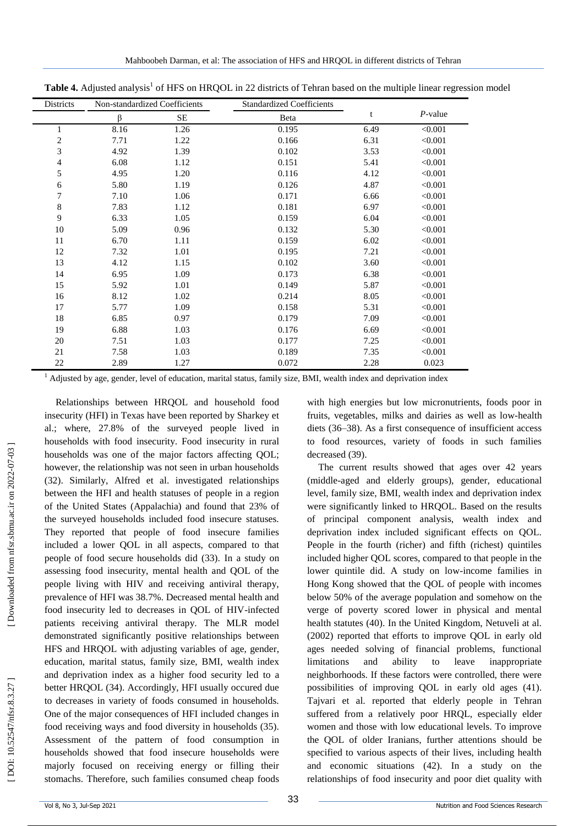| Districts      | Non-standardized Coefficients |      | <b>Standardized Coefficients</b> |      |            |
|----------------|-------------------------------|------|----------------------------------|------|------------|
|                | β                             | SE   | Beta                             | t    | $P$ -value |
| $\mathbf{1}$   | 8.16                          | 1.26 | 0.195                            | 6.49 | < 0.001    |
| $\sqrt{2}$     | 7.71                          | 1.22 | 0.166                            | 6.31 | < 0.001    |
| 3              | 4.92                          | 1.39 | 0.102                            | 3.53 | < 0.001    |
| $\overline{4}$ | 6.08                          | 1.12 | 0.151                            | 5.41 | < 0.001    |
| 5              | 4.95                          | 1.20 | 0.116                            | 4.12 | < 0.001    |
| $\sqrt{6}$     | 5.80                          | 1.19 | 0.126                            | 4.87 | < 0.001    |
| 7              | 7.10                          | 1.06 | 0.171                            | 6.66 | < 0.001    |
| $\,8\,$        | 7.83                          | 1.12 | 0.181                            | 6.97 | < 0.001    |
| 9              | 6.33                          | 1.05 | 0.159                            | 6.04 | < 0.001    |
| 10             | 5.09                          | 0.96 | 0.132                            | 5.30 | < 0.001    |
| 11             | 6.70                          | 1.11 | 0.159                            | 6.02 | < 0.001    |
| 12             | 7.32                          | 1.01 | 0.195                            | 7.21 | < 0.001    |
| 13             | 4.12                          | 1.15 | 0.102                            | 3.60 | < 0.001    |
| 14             | 6.95                          | 1.09 | 0.173                            | 6.38 | < 0.001    |
| 15             | 5.92                          | 1.01 | 0.149                            | 5.87 | < 0.001    |
| 16             | 8.12                          | 1.02 | 0.214                            | 8.05 | < 0.001    |
| 17             | 5.77                          | 1.09 | 0.158                            | 5.31 | < 0.001    |
| 18             | 6.85                          | 0.97 | 0.179                            | 7.09 | < 0.001    |
| 19             | 6.88                          | 1.03 | 0.176                            | 6.69 | < 0.001    |
| 20             | 7.51                          | 1.03 | 0.177                            | 7.25 | < 0.001    |
| 21             | 7.58                          | 1.03 | 0.189                            | 7.35 | < 0.001    |
| 22             | 2.89                          | 1.27 | 0.072                            | 2.28 | 0.023      |

Table 4. Adjusted analysis<sup>1</sup> of HFS on HRQOL in 22 districts of Tehran based on the multiple linear regression model

 $1$  Adjusted by age, gender, level of education, marital status, family size, BMI, wealth index and deprivation index

Relationships between HRQOL and household food insecurity (HFI) in Texas have been reported by Sharkey et al.; where, 27.8% of the surveyed people lived in households with food insecurity. Food insecurity in rural households was one of the major factors affecting QOL; however, the relationship was not seen in urban households (32). Similarly, Alfred et al. investigated relationships between the HFI and health statuses of people in a region of the United States (Appalachia) and found that 23% of the surveyed households included food insecure statuses. They reported that people of food insecure families included a lower QOL in all aspects, compared to that people of food secure households did (33). In a study on assessing food insecurity, mental health and QOL of the people living with HIV and receiving antiviral therapy, prevalence of HFI was 38.7%. Decreased mental health and food insecurity led to decreases in QOL of HIV -infected patients receiving antiviral therapy. The MLR model demonstrated significantly positive relationships between HFS and HRQOL with adjusting variables of age, gender, education, marital status, family size, BMI, wealth index and deprivation index as a higher food security led to a better HRQOL (34). Accordingly, HFI usually occured due to decreases in variety of foods consumed in households. One of the major consequences of HFI included changes in food receiving ways and food diversity in households (35). Assessment of the pattern of food consumption in households showed that food insecure households were majorly focused on receiving energy or filling their stomachs. Therefore, such families consumed cheap foods

with high energies but low micronutrients, foods poor in fruits, vegetables, milks and dairies as well as low -health diets (36 –38). As a first consequence of insufficient access to food resources, variety of foods in such families decreased (39).

The current results showed that ages over 42 years (middle -aged and elderly groups), gender, educational level, family size, BMI, wealth index and deprivation index were significantly linked to HRQOL. Based on the results of principal component analysis, wealth index and deprivation index included significant effects on QOL. People in the fourth (richer) and fifth (richest) quintiles included higher QOL scores, compared to that people in the lower quintile did. A study on low -income families in Hong Kong showed that the QOL of people with incomes below 50% of the average population and somehow on the verge of poverty scored lower in physical and mental health statutes (40). In the United Kingdom, Netuveli at al. (2002) reported that efforts to improve QOL in early old ages needed solving of financial problems, functional limitations and ability to leave inappropriate neighborhoods. If these factors were controlled, there were possibilities of improving QOL in early old ages (41). Tajvari et al. reported that elderly people in Tehran suffered from a relatively poor HRQL, especially elder women and those with low educational levels. To improve the QOL of older Iranians, further attentions should be specified to various aspects of their lives, including health and economic situations (42). In a study on the relationships of food insecurity and poor diet quality with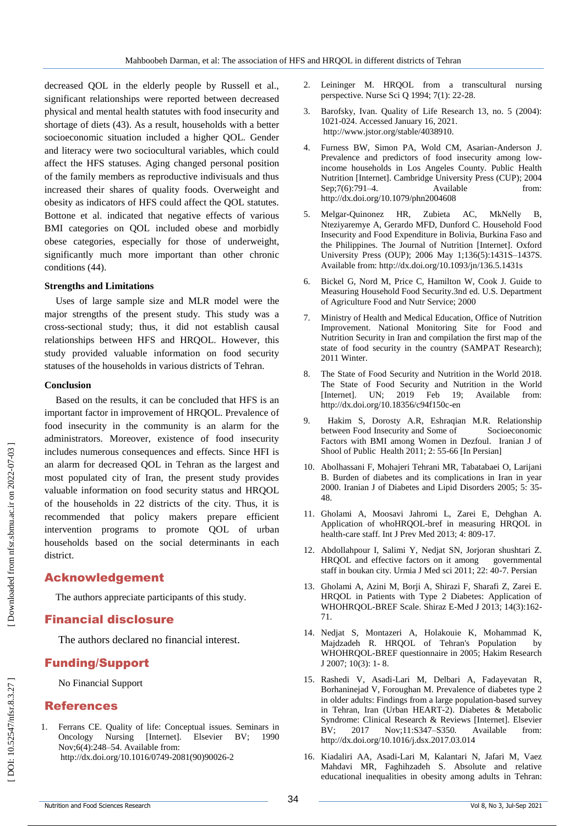decreased QOL in the elderly people by Russell et al., significant relationships were reported between decreased physical and mental health statutes with food insecurity and shortage of diets (43). As a result, households with a better socioeconomic situation included a higher QOL. Gender and literacy were two sociocultural variables, which could affect the HFS statuses. Aging changed personal position of the family members as reproductive indivisuals and thus increased their shares of quality foods. Overweight and obesity as indicators of HFS could affect the QOL statutes. Bottone et al. indicated that negative effects of various BMI categories on QOL included obese and morbidly obese categories, especially for those of underweight, significantly much more important than other chronic conditions (44) .

#### **Strengths and Limitations**

Uses of large sample size and MLR model were the major strengths of the present study. This study was a cross -sectional study; thus, it did not establish causal relationships between HFS and HRQOL. However, this study provided valuable information on food security statuses of the households in various districts of Tehran.

#### **Conclusion**

Based on the results, it can be concluded that HFS is an important factor in improvement of HRQOL. Prevalence of food insecurity in the community is an alarm for the administrators. Moreover, existence of food insecurity includes numerous consequences and effects. Since HFI is an alarm for decreased QOL in Tehran as the largest and most populated city of Iran, the present study provides valuable information on food security status and HRQOL of the households in 22 districts of the city. Thus, it is recommended that policy makers prepare efficient intervention programs to promote QOL of urban households based on the social determinants in each district.

# Acknowledgement

The authors appreciate participants of this study.

# Financial disclosure

The authors declared no financial interest.

# Funding/Support

No Financial Support

# References

1 . Ferrans CE. Quality of life: Conceptual issues. Seminars in Oncology Nursing [Internet]. Elsevier BV; 1990 Nov;6(4):248 –54. Available from: http://dx.doi.org/10.1016/0749 -2081(90)90026 - 2

- 2. Leininger M. HRQOL from a transcultural nursing perspective. Nurse Sci Q 1994; 7(1): 22 -28.
- 3. . Barofsky, Ivan. Quality of Life Research 13, no. 5 (2004): 1021 -024. Accessed January 16, 2021. http://www.jstor.org/stable/4038910.
- 4 . Furness BW, Simon PA, Wold CM, Asarian -Anderson J. Prevalence and predictors of food insecurity among lowincome households in Los Angeles County. Public Health Nutrition [Internet]. Cambridge University Press (CUP); 2004 Sep;7(6):791-4. –4. Available from: http://dx.doi.org/10.1079/phn2004608
- 5 . Melgar -Quinonez HR, Zubieta AC, MkNelly B, Nteziyaremye A, Gerardo MFD, Dunford C. Household Food Insecurity and Food Expenditure in Bolivia, Burkina Faso and the Philippines. The Journal of Nutrition [Internet]. Oxford University Press (OUP); 2006 May 1;136(5):1431S –1437S. Available from: http://dx.doi.org/10.1093/jn/136.5.1431s
- 6 . Bickel G, Nord M, Price C, Hamilton W, Cook J. Guide to Measuring Household Food Security.3nd ed. U.S. Department of Agriculture Food and Nutr Service; 2000
- 7 . Ministry of Health and Medical Education, Office of Nutrition Improvement. National Monitoring Site for Food and Nutrition Security in Iran and compilation the first map of the state of food security in the country (SAMPAT Research); 2011 Winter.
- 8 . The State of Food Security and Nutrition in the World 2018. The State of Food Security and Nutrition in the World [Internet]. UN; 2019 Feb 19; Available from: http://dx.doi.org/10.18356/c94f150c -en
- 9. . Hakim S, Dorosty A.R, Eshraqian M.R. Relationship between Food Insecurity and Some of Socioeconomic Factors with BMI among Women in Dezfoul. Iranian J of Shool of Public Health 2011; 2: 55 -66 [In Persian]
- 10 . Abolhassani F, Mohajeri Tehrani MR, Tabatabaei O, Larijani B. Burden of diabetes and its complications in Iran in year 2000. Iranian J of Diabetes and Lipid Disorders 2005; 5: 35 - 48.
- 11 . Gholami A, Moosavi Jahromi L, Zarei E, Dehghan A. Application of whoHRQOL -bref in measuring HRQOL in health -care staff. Int J Prev Med 2013; 4: 809 -17.
- 12 . Abdollahpour I, Salimi Y, Nedjat SN, Jorjoran shushtari Z. HRQOL and effective factors on it among governmental staff in boukan city. Urmia J Med sci 2011; 22: 40 -7. Persian
- 13 . Gholami A, Azini M, Borji A, Shirazi F, Sharafi Z, Zarei E. HRQOL in Patients with Type 2 Diabetes: Application of WHOHRQOL -BREF Scale. Shiraz E -Med J 2013; 14(3):162 - 71.
- 14 . Nedjat S, Montazeri A, Holakouie K, Mohammad K, Majdzadeh R. HRQOL of Tehran's Population by WHOHRQOL -BREF questionnaire in 2005; Hakim Research J 2007; 10(3): 1 - 8.
- 15 . Rashedi V, Asadi -Lari M, Delbari A, Fadayevatan R, Borhaninejad V, Foroughan M. Prevalence of diabetes type 2 in older adults: Findings from a large population -based survey in Tehran, Iran (Urban HEART -2). Diabetes & Metabolic Syndrome: Clinical Research & Reviews [Internet]. Elsevier BV; 2017 Nov;11:S347-S350. Available from: <http://dx.doi.org/10.1016/j.dsx.2017.03.014>
- 16 . Kiadaliri AA, Asadi -Lari M, Kalantari N, Jafari M, Vaez Mahdavi MR, Faghihzadeh S. Absolute and relative educational inequalities in obesity among adults in Tehran:

DOI: 10.52547/nfsr.8.3.27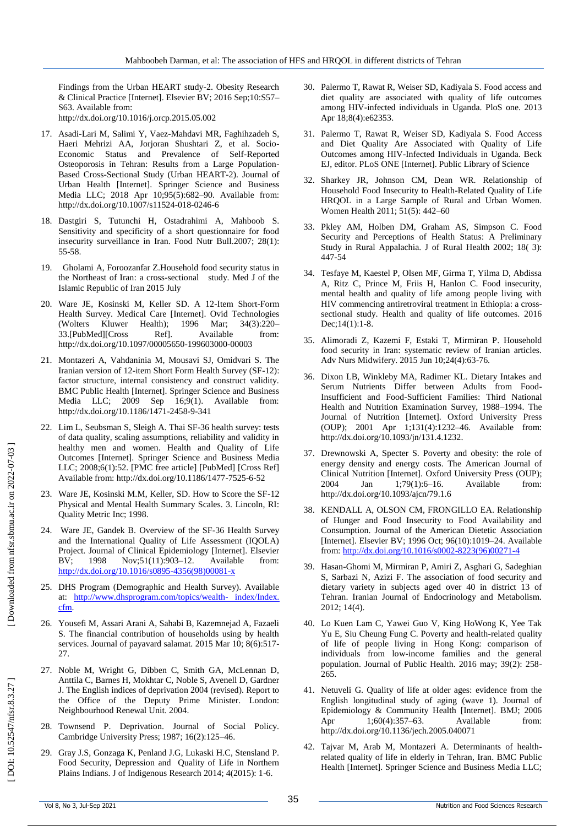Findings from the Urban HEART study -2. Obesity Research & Clinical Practice [Internet]. Elsevier BV; 2016 Sep;10:S57 – S63. Available from: http://dx.doi.org/10.1016/j.orcp.2015.05.002

- 17 . Asadi -Lari M, Salimi Y, Vaez -Mahdavi MR, Faghihzadeh S, Haeri Mehrizi AA, Jorjoran Shushtari Z, et al. Socio - Economic Status and Prevalence of Self-Reported Osteoporosis in Tehran: Results from a Large Population - Based Cross -Sectional Study (Urban HEART -2). Journal of Urban Health [Internet]. Springer Science and Business Media LLC; 2018 Apr 10;95(5):682 –90. Available from: http://dx.doi.org/10.1007/s11524 -018 -0246 - 6
- 18 . Dastgiri S, Tutunchi H, Ostadrahimi A, Mahboob S. Sensitivity and specificity of a short questionnaire for food insecurity surveillance in Iran. Food Nutr Bull.2007; 28(1): 55 -58.
- 19 . Gholami A, Foroozanfar Z.Household food security status in the Northeast of Iran: a cross -sectional study. Med J of the Islamic Republic of Iran 2015 July
- 20 . Ware JE, Kosinski M, Keller SD. A 12 -Item Short -Form Health Survey. Medical Care [Internet]. Ovid Technologies (Wolters Kluwer Health); 1996 Mar; 34(3):220-33.[PubMed][Cross Ref]. Available from: http://dx.doi.org/10.1097/00005650 -199603000 -00003
- 21 . Montazeri A, Vahdaninia M, Mousavi SJ, Omidvari S. The Iranian version of 12-item Short Form Health Survey (SF-12): factor structure, internal consistency and construct validity. BMC Public Health [Internet]. Springer Science and Business Media LLC; 2009 Sep 16;9(1). Available from: http://dx.doi.org/10.1186/1471 -2458 - 9 -341
- 22 . Lim L, Seubsman S, Sleigh A. Thai SF -36 health survey: tests of data quality, scaling assumptions, reliability and validity in healthy men and women. Health and Quality of Life Outcomes [Internet]. Springer Science and Business Media LLC; 2008;6(1):52. [PMC free article] [PubMed] [Cross Ref] Available from: http://dx.doi.org/10.1186/1477 -7525 - 6 -52
- 23 . Ware JE, Kosinski M.M, Keller, SD. How to Score the SF -12 Physical and Mental Health Summary Scales. 3. Lincoln, RI: Quality Metric Inc; 1998.
- 24 . Ware JE, Gandek B. Overview of the SF -36 Health Survey and the International Quality of Life Assessment (IQOLA) Project. Journal of Clinical Epidemiology [Internet]. Elsevier BV; 1998 Nov;51(11):903-12. Available from: [http://dx.doi.org/10.1016/s0895](http://dx.doi.org/10.1016/s0895-4356\(98\)00081-x)-4356(98)00081-x
- 25 . DHS Program (Demographic and Health Survey). Available at: [http://www.dhsprogram.com/topics/wealth](http://www.dhsprogram.com/topics/wealth-%20index/Index.%20cfm)-index/Index. [cfm](http://www.dhsprogram.com/topics/wealth-%20index/Index.%20cfm).
- 26 . Yousefi M, Assari Arani A, Sahabi B, Kazemnejad A, Fazaeli S. The financial contribution of households using by health services. Journal of payavard salamat. 2015 Mar 10; 8(6):517-27.
- 27 . Noble M, Wright G, Dibben C, Smith GA, McLennan D, Anttila C, Barnes H, Mokhtar C, Noble S, Avenell D, Gardner J. The English indices of deprivation 2004 (revised). Report to the Office of the Deputy Prime Minister. London: Neighbourhood Renewal Unit. 2004.
- 28 . Townsend P. Deprivation. Journal of Social Policy. Cambridge University Press; 1987; 16(2):125 –46.
- 29 . Gray J.S, Gonzaga K, Penland J.G, Lukaski H.C, Stensland P. Food Security, Depression and Quality of Life in Northern Plains Indians. J of Indigenous Research 2014; 4(2015): 1 -6.
- 30 . Palermo T, Rawat R, Weiser SD, Kadiyala S. Food access and diet quality are associated with quality of life outcomes among HIV -infected individuals in Uganda. PloS one. 2013 Apr 18;8(4):e62353 .
- 31 . Palermo T, Rawat R, Weiser SD, Kadiyala S. Food Access and Diet Quality Are Associated with Quality of Life Outcomes among HIV -Infected Individuals in Uganda. Beck EJ, editor. PLoS ONE [Internet]. Public Library of Science
- 32 . Sharkey JR, Johnson CM, Dean WR. Relationship of Household Food Insecurity to Health -Related Quality of Life HRQOL in a Large Sample of Rural and Urban Women. Women Health 2011; 51(5): 442 –60
- 33 . Pkley AM, Holben DM, Graham AS, Simpson C. Food Security and Perceptions of Health Status: A Preliminary Study in Rural Appalachia. J of Rural Health 2002; 18( 3): 447 -54
- 34 . Tesfaye M, Kaestel P, Olsen MF, Girma T, Yilma D, Abdissa A, Ritz C, Prince M, Friis H, Hanlon C. Food insecurity, mental health and quality of life among people living with HIV commencing antiretroviral treatment in Ethiopia: a cross sectional study. Health and quality of life outcomes. 2016 Dec;14(1):1 -8.
- 35 . Alimoradi Z, Kazemi F, Estaki T, Mirmiran P. Household food security in Iran: systematic review of Iranian articles. Adv Nurs Midwifery. 2015 Jun 10;24(4):63 -76.
- 36 . Dixon LB, Winkleby MA, Radimer KL. Dietary Intakes and Serum Nutrients Differ between Adults from Food - Insufficient and Food -Sufficient Families: Third National Health and Nutrition Examination Survey, 1988 –1994. The Journal of Nutrition [Internet]. Oxford University Press (OUP); 2001 Apr 1;131(4):1232 –46. Available from: http://dx.doi.org/10.1093/jn/131.4.1232.
- 37 . Drewnowski A, Specter S. Poverty and obesity: the role of energy density and energy costs. The American Journal of Clinical Nutrition [Internet]. Oxford University Press (OUP); 2004 Jan 1;79(1):6-16. –16. Available from: http://dx.doi.org/10.1093/ajcn/79.1.6
- 38 . KENDALL A, OLSON CM, FRONGILLO EA. Relationship of Hunger and Food Insecurity to Food Availability and Consumption. Journal of the American Dietetic Association [Internet]. Elsevier BV; 1996 Oct; 96(10):1019 –24. Available from[: http://dx.doi.org/10.1016/s0002](http://dx.doi.org/10.1016/s0002-8223\(96\)00271-4)-8223(96)00271-4
- 39 . Hasan -Ghomi M, Mirmiran P, Amiri Z, Asghari G, Sadeghian S, Sarbazi N, Azizi F. The association of food security and dietary variety in subjects aged over 40 in district 13 of Tehran. Iranian Journal of Endocrinology and Metabolism. 2012; 14(4).
- 40 . Lo Kuen Lam C, Yawei Guo V, King HoWong K, Yee Tak Yu E, Siu Cheung Fung C. Poverty and health -related quality of life of people living in Hong Kong: comparison of individuals from low -income families and the general population. Journal of Public Health. 2016 may; 39(2): 258 - 265.
- 41 . Netuveli G. Quality of life at older ages: evidence from the English longitudinal study of aging (wave 1). Journal of Epidemiology & Community Health [Internet]. BMJ; 2006 Apr 1;60(4):357–63. –63. Available from: http://dx.doi.org/10.1136/jech.2005.040071
- 42 . Tajvar M, Arab M, Montazeri A. Determinants of health related quality of life in elderly in Tehran, Iran. BMC Public Health [Internet]. Springer Science and Business Media LLC;

DOI: 10.52547/nfsr.8.3.27